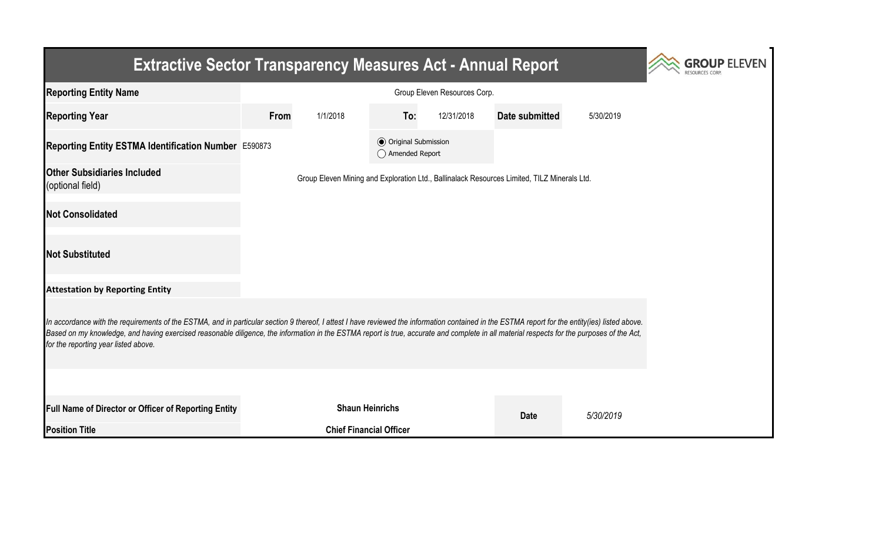| <b>Extractive Sector Transparency Measures Act - Annual Report</b>                                                                                                                                                                                                                                                                                                                                                                    | <b>GROUP ELEVEN</b> |                                                                                             |                                                  |            |                |           |  |  |  |  |  |
|---------------------------------------------------------------------------------------------------------------------------------------------------------------------------------------------------------------------------------------------------------------------------------------------------------------------------------------------------------------------------------------------------------------------------------------|---------------------|---------------------------------------------------------------------------------------------|--------------------------------------------------|------------|----------------|-----------|--|--|--|--|--|
| <b>Reporting Entity Name</b>                                                                                                                                                                                                                                                                                                                                                                                                          |                     |                                                                                             |                                                  |            |                |           |  |  |  |  |  |
| <b>Reporting Year</b>                                                                                                                                                                                                                                                                                                                                                                                                                 | From                | 1/1/2018                                                                                    | To:                                              | 12/31/2018 | Date submitted | 5/30/2019 |  |  |  |  |  |
| Reporting Entity ESTMA Identification Number E590873                                                                                                                                                                                                                                                                                                                                                                                  |                     |                                                                                             | <b>◎</b> Original Submission<br>◯ Amended Report |            |                |           |  |  |  |  |  |
| <b>Other Subsidiaries Included</b><br>(optional field)                                                                                                                                                                                                                                                                                                                                                                                |                     | Group Eleven Mining and Exploration Ltd., Ballinalack Resources Limited, TILZ Minerals Ltd. |                                                  |            |                |           |  |  |  |  |  |
| <b>Not Consolidated</b>                                                                                                                                                                                                                                                                                                                                                                                                               |                     |                                                                                             |                                                  |            |                |           |  |  |  |  |  |
| <b>Not Substituted</b>                                                                                                                                                                                                                                                                                                                                                                                                                |                     |                                                                                             |                                                  |            |                |           |  |  |  |  |  |
| <b>Attestation by Reporting Entity</b>                                                                                                                                                                                                                                                                                                                                                                                                |                     |                                                                                             |                                                  |            |                |           |  |  |  |  |  |
| In accordance with the requirements of the ESTMA, and in particular section 9 thereof, I attest I have reviewed the information contained in the ESTMA report for the entity(ies) listed above.<br>Based on my knowledge, and having exercised reasonable diligence, the information in the ESTMA report is true, accurate and complete in all material respects for the purposes of the Act,<br>for the reporting year listed above. |                     |                                                                                             |                                                  |            |                |           |  |  |  |  |  |
|                                                                                                                                                                                                                                                                                                                                                                                                                                       |                     |                                                                                             |                                                  |            |                |           |  |  |  |  |  |
| Full Name of Director or Officer of Reporting Entity                                                                                                                                                                                                                                                                                                                                                                                  |                     | <b>Shaun Heinrichs</b>                                                                      |                                                  |            | <b>Date</b>    | 5/30/2019 |  |  |  |  |  |
| <b>Position Title</b>                                                                                                                                                                                                                                                                                                                                                                                                                 |                     | <b>Chief Financial Officer</b>                                                              |                                                  |            |                |           |  |  |  |  |  |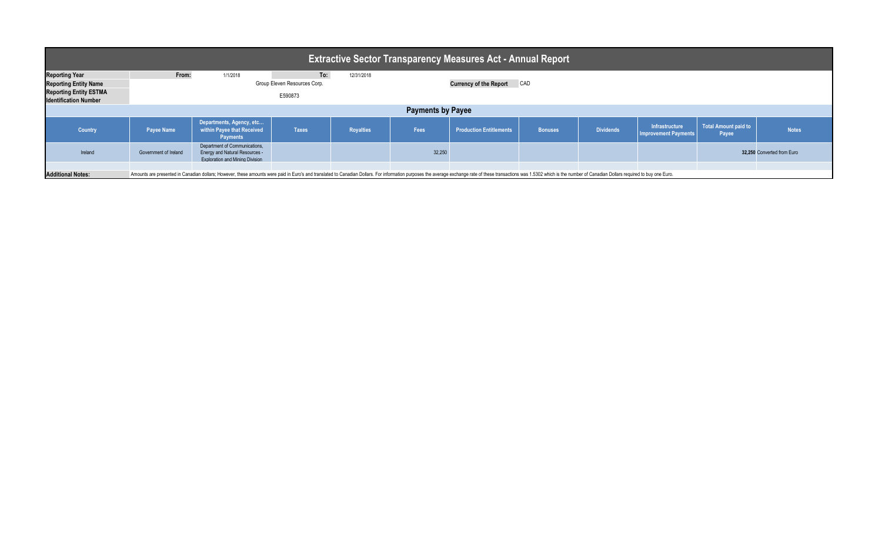| <b>Extractive Sector Transparency Measures Act - Annual Report</b>                                                     |                       |                                                                                                                                                                                                                                |              |                  |        |                                      |                |                  |                                               |                               |                            |  |  |
|------------------------------------------------------------------------------------------------------------------------|-----------------------|--------------------------------------------------------------------------------------------------------------------------------------------------------------------------------------------------------------------------------|--------------|------------------|--------|--------------------------------------|----------------|------------------|-----------------------------------------------|-------------------------------|----------------------------|--|--|
| <b>Reporting Year</b><br><b>Reporting Entity Name</b><br><b>Reporting Entity ESTMA</b><br><b>Identification Number</b> | From:                 | To:<br>1/1/2018<br>12/31/2018<br>Group Eleven Resources Corp.<br>E590873                                                                                                                                                       |              |                  |        | CAD<br><b>Currency of the Report</b> |                |                  |                                               |                               |                            |  |  |
| <b>Payments by Payee</b>                                                                                               |                       |                                                                                                                                                                                                                                |              |                  |        |                                      |                |                  |                                               |                               |                            |  |  |
| <b>Country</b>                                                                                                         | <b>Payee Name</b>     | Departments, Agency, etc<br>within Payee that Received<br><b>Payments</b>                                                                                                                                                      | <b>Taxes</b> | <b>Royalties</b> | Fees   | <b>Production Entitlements</b>       | <b>Bonuses</b> | <b>Dividends</b> | Infrastructure<br><b>Improvement Payments</b> | Total Amount paid to<br>Payee | <b>Notes</b>               |  |  |
| Ireland                                                                                                                | Government of Ireland | Department of Communications,<br><b>Energy and Natural Resources -</b><br><b>Exploration and Mining Division</b>                                                                                                               |              |                  | 32,250 |                                      |                |                  |                                               |                               | 32,250 Converted from Euro |  |  |
| <b>Additional Notes:</b>                                                                                               |                       | Amounts are presented in Canadian dollars; However, these amounts were paid in Euro's and translated to Canadian Dollars. For information purposes the average exchange rate of these transactions was 1.5302 which is the num |              |                  |        |                                      |                |                  |                                               |                               |                            |  |  |